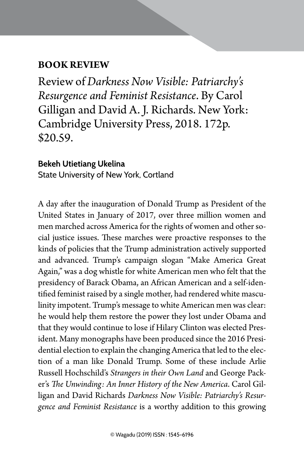## **BOOK REVIEW**

Review of *Darkness Now Visible: Patriarchy's Resurgence and Feminist Resistance*. By Carol Gilligan and David A. J. Richards. New York: Cambridge University Press, 2018. 172p. \$20.59.

BOOK REVIEW | 159

## **Bekeh Utietiang Ukelina** State University of New York, Cortland

A day after the inauguration of Donald Trump as President of the United States in January of 2017, over three million women and men marched across America for the rights of women and other social justice issues. These marches were proactive responses to the kinds of policies that the Trump administration actively supported and advanced. Trump's campaign slogan "Make America Great Again," was a dog whistle for white American men who felt that the presidency of Barack Obama, an African American and a self-identified feminist raised by a single mother, had rendered white masculinity impotent. Trump's message to white American men was clear: he would help them restore the power they lost under Obama and that they would continue to lose if Hilary Clinton was elected President. Many monographs have been produced since the 2016 Presidential election to explain the changing America that led to the election of a man like Donald Trump. Some of these include Arlie Russell Hochschild's *Strangers in their Own Land* and George Packer's *The Unwinding: An Inner History of the New America*. Carol Gilligan and David Richards *Darkness Now Visible: Patriarchy's Resurgence and Feminist Resistance* is a worthy addition to this growing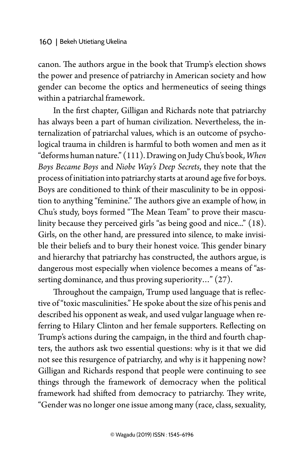canon. The authors argue in the book that Trump's election shows the power and presence of patriarchy in American society and how gender can become the optics and hermeneutics of seeing things within a patriarchal framework.

In the first chapter, Gilligan and Richards note that patriarchy has always been a part of human civilization. Nevertheless, the internalization of patriarchal values, which is an outcome of psychological trauma in children is harmful to both women and men as it "deforms human nature." (111). Drawing on Judy Chu's book, *When Boys Became Boys* and *Niobe Way's Deep Secrets*, they note that the process of initiation into patriarchy starts at around age five for boys. Boys are conditioned to think of their masculinity to be in opposition to anything "feminine." The authors give an example of how, in Chu's study, boys formed "The Mean Team" to prove their masculinity because they perceived girls "as being good and nice..." (18). Girls, on the other hand, are pressured into silence, to make invisible their beliefs and to bury their honest voice. This gender binary and hierarchy that patriarchy has constructed, the authors argue, is dangerous most especially when violence becomes a means of "asserting dominance, and thus proving superiority..." (27).

Throughout the campaign, Trump used language that is reflective of "toxic masculinities." He spoke about the size of his penis and described his opponent as weak, and used vulgar language when referring to Hilary Clinton and her female supporters. Reflecting on Trump's actions during the campaign, in the third and fourth chapters, the authors ask two essential questions: why is it that we did not see this resurgence of patriarchy, and why is it happening now? Gilligan and Richards respond that people were continuing to see things through the framework of democracy when the political framework had shifted from democracy to patriarchy. They write, "Gender was no longer one issue among many (race, class, sexuality,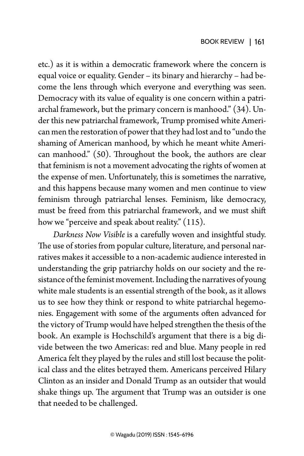etc.) as it is within a democratic framework where the concern is equal voice or equality. Gender – its binary and hierarchy – had become the lens through which everyone and everything was seen. Democracy with its value of equality is one concern within a patriarchal framework, but the primary concern is manhood." (34). Under this new patriarchal framework, Trump promised white American men the restoration of power that they had lost and to "undo the shaming of American manhood, by which he meant white American manhood." (50). Throughout the book, the authors are clear that feminism is not a movement advocating the rights of women at the expense of men. Unfortunately, this is sometimes the narrative, and this happens because many women and men continue to view feminism through patriarchal lenses. Feminism, like democracy, must be freed from this patriarchal framework, and we must shift how we "perceive and speak about reality." (115).

*Darkness Now Visible* is a carefully woven and insightful study. The use of stories from popular culture, literature, and personal narratives makes it accessible to a non-academic audience interested in understanding the grip patriarchy holds on our society and the resistance of the feminist movement. Including the narratives of young white male students is an essential strength of the book, as it allows us to see how they think or respond to white patriarchal hegemonies. Engagement with some of the arguments often advanced for the victory of Trump would have helped strengthen the thesis of the book. An example is Hochschild's argument that there is a big divide between the two Americas: red and blue. Many people in red America felt they played by the rules and still lost because the political class and the elites betrayed them. Americans perceived Hilary Clinton as an insider and Donald Trump as an outsider that would shake things up. The argument that Trump was an outsider is one that needed to be challenged.